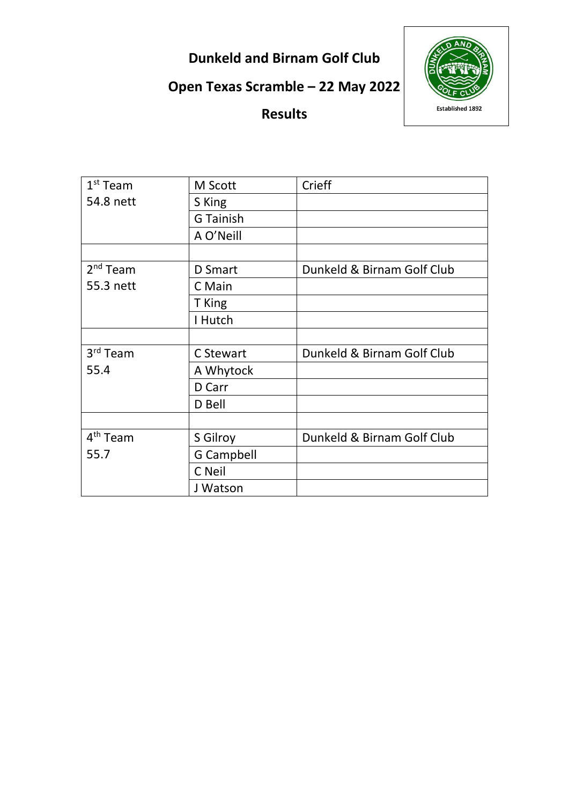**Dunkeld and Birnam Golf Club**

**Open Texas Scramble – 22 May 2022**



**Results**

| $1st$ Team           | M Scott           | Crieff                     |
|----------------------|-------------------|----------------------------|
| 54.8 nett            | S King            |                            |
|                      | <b>G</b> Tainish  |                            |
|                      | A O'Neill         |                            |
|                      |                   |                            |
| 2 <sup>nd</sup> Team | <b>D</b> Smart    | Dunkeld & Birnam Golf Club |
| 55.3 nett            | C Main            |                            |
|                      | T King            |                            |
|                      | I Hutch           |                            |
|                      |                   |                            |
| 3 <sup>rd</sup> Team | C Stewart         | Dunkeld & Birnam Golf Club |
| 55.4                 | A Whytock         |                            |
|                      | D Carr            |                            |
|                      | D Bell            |                            |
|                      |                   |                            |
| 4 <sup>th</sup> Team | S Gilroy          | Dunkeld & Birnam Golf Club |
| 55.7                 | <b>G Campbell</b> |                            |
|                      | C Neil            |                            |
|                      | J Watson          |                            |